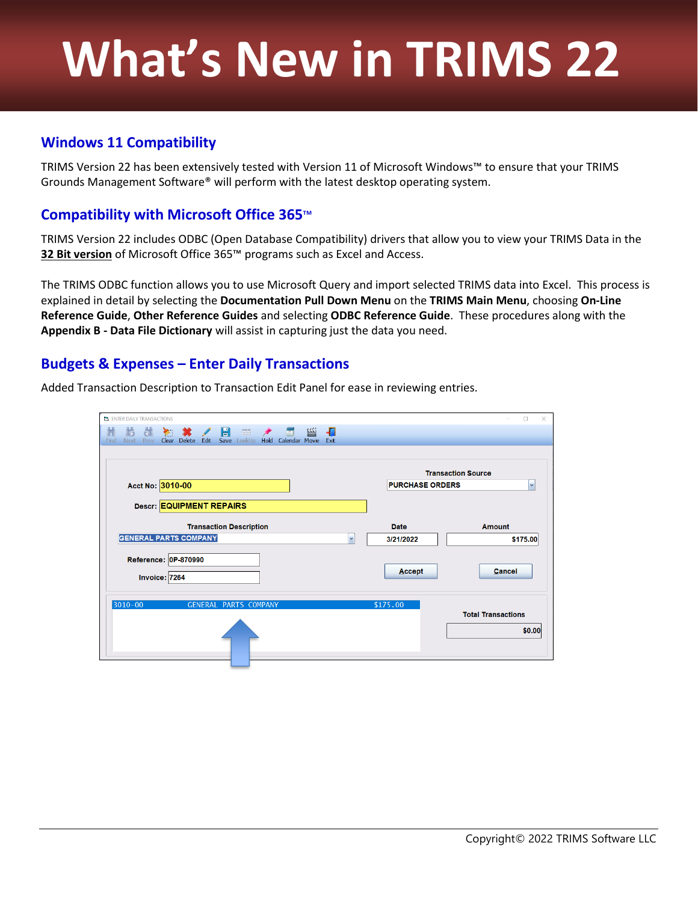# **What's New in TRIMS 22**

## **Windows 11 Compatibility**

TRIMS Version 22 has been extensively tested with Version 11 of Microsoft Windows™ to ensure that your TRIMS Grounds Management Software® will perform with the latest desktop operating system.

## **Compatibility with Microsoft Office 365**™

TRIMS Version 22 includes ODBC (Open Database Compatibility) drivers that allow you to view your TRIMS Data in the **32 Bit version** of Microsoft Office 365™ programs such as Excel and Access.

The TRIMS ODBC function allows you to use Microsoft Query and import selected TRIMS data into Excel. This process is explained in detail by selecting the **Documentation Pull Down Menu** on the **TRIMS Main Menu**, choosing **On-Line Reference Guide**, **Other Reference Guides** and selecting **ODBC Reference Guide**. These procedures along with the **Appendix B - Data File Dictionary** will assist in capturing just the data you need.

#### **Budgets & Expenses – Enter Daily Transactions**

| 眥<br><b>* / E</b><br>王文<br>$\left  \frac{\partial \mathbf{r}}{\partial \mathbf{r}} \right $<br>⊀₫<br>đ.<br>Ð<br>$\triangledown$<br>Clear Delete<br>Edit Save LookUp Hold Calendar Movie Exit<br><b>Next</b><br>Prev<br>Find<br><b>Transaction Source</b><br>Acct No: 3010-00<br><b>PURCHASE ORDERS</b> |                           |  |  |  |  |  |
|--------------------------------------------------------------------------------------------------------------------------------------------------------------------------------------------------------------------------------------------------------------------------------------------------------|---------------------------|--|--|--|--|--|
|                                                                                                                                                                                                                                                                                                        |                           |  |  |  |  |  |
|                                                                                                                                                                                                                                                                                                        |                           |  |  |  |  |  |
|                                                                                                                                                                                                                                                                                                        |                           |  |  |  |  |  |
|                                                                                                                                                                                                                                                                                                        | $\checkmark$              |  |  |  |  |  |
|                                                                                                                                                                                                                                                                                                        |                           |  |  |  |  |  |
| Descr: EQUIPMENT REPAIRS                                                                                                                                                                                                                                                                               |                           |  |  |  |  |  |
| <b>Transaction Description</b><br><b>Date</b>                                                                                                                                                                                                                                                          | <b>Amount</b>             |  |  |  |  |  |
| <b>GENERAL PARTS COMPANY</b><br>$\overline{\mathbf{v}}$<br>3/21/2022                                                                                                                                                                                                                                   | \$175.00                  |  |  |  |  |  |
| Reference: 0P-870990<br>Accept<br>Invoice: 7264                                                                                                                                                                                                                                                        | Cancel                    |  |  |  |  |  |
| $3010 - 00$<br>\$175.00<br><b>GENERAL PARTS COMPANY</b>                                                                                                                                                                                                                                                |                           |  |  |  |  |  |
|                                                                                                                                                                                                                                                                                                        | <b>Total Transactions</b> |  |  |  |  |  |
|                                                                                                                                                                                                                                                                                                        | \$0.00                    |  |  |  |  |  |
|                                                                                                                                                                                                                                                                                                        |                           |  |  |  |  |  |

Added Transaction Description to Transaction Edit Panel for ease in reviewing entries.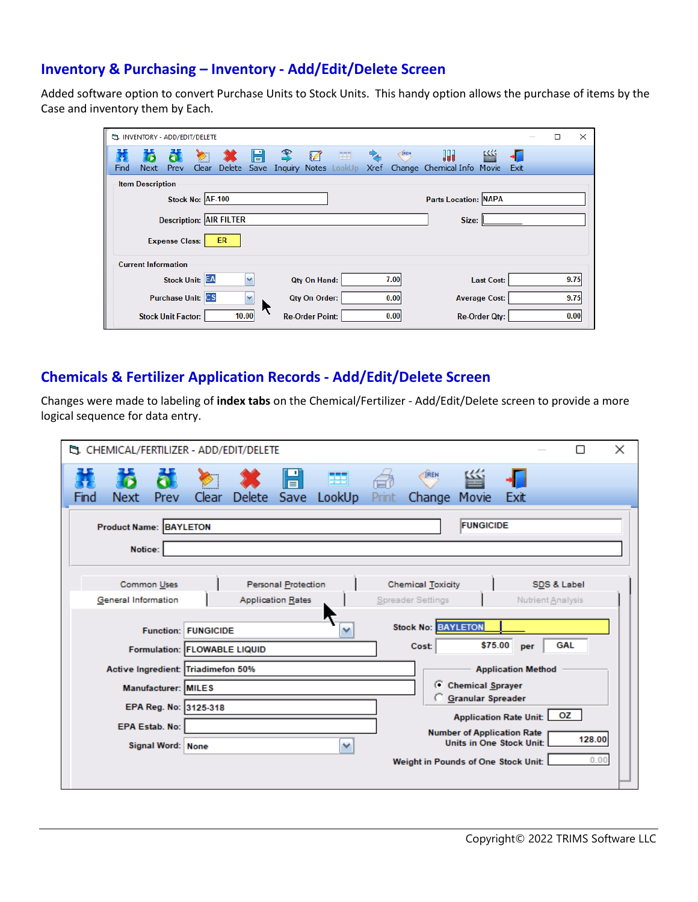#### **Inventory & Purchasing – Inventory - Add/Edit/Delete Screen**

Added software option to convert Purchase Units to Stock Units. This handy option allows the purchase of items by the Case and inventory them by Each.

|      | LA INVENTORY - ADD/EDIT/DELETE          |                           |                  |        |              |              |                        |              |             |      |                             |                      |      | □ | ×    |
|------|-----------------------------------------|---------------------------|------------------|--------|--------------|--------------|------------------------|--------------|-------------|------|-----------------------------|----------------------|------|---|------|
|      |                                         |                           |                  |        | H            | 2            | 頛                      | 要            | 鸟           | IREN | 백                           | 幽                    |      |   |      |
| Find | <b>Next</b>                             | Prev                      | Clear            | Delete |              | Save Inquiry |                        | Notes LookUp | <b>Xref</b> |      | Change Chemical Info        | Movie                | Exit |   |      |
|      | <b>Item Description</b>                 |                           |                  |        |              |              |                        |              |             |      |                             |                      |      |   |      |
|      |                                         |                           | Stock No: AF-100 |        |              |              |                        |              |             |      | <b>Parts Location: NAPA</b> |                      |      |   |      |
|      | <b>Description: AIR FILTER</b><br>Size: |                           |                  |        |              |              |                        |              |             |      |                             |                      |      |   |      |
|      | <b>ER</b><br><b>Expense Class:</b>      |                           |                  |        |              |              |                        |              |             |      |                             |                      |      |   |      |
|      | <b>Current Information</b>              |                           |                  |        |              |              |                        |              |             |      |                             |                      |      |   |      |
|      |                                         | <b>Stock Unit: EA</b>     |                  |        | v            |              | <b>Qty On Hand:</b>    |              |             | 7.00 |                             | <b>Last Cost:</b>    |      |   | 9.75 |
|      |                                         | <b>Purchase Unit: CS</b>  |                  |        | $\checkmark$ |              | Qty On Order:          |              |             | 0.00 |                             | <b>Average Cost:</b> |      |   | 9.75 |
|      |                                         | <b>Stock Unit Factor:</b> |                  | 10.00  |              |              | <b>Re-Order Point:</b> |              |             | 0.00 |                             | <b>Re-Order Qty:</b> |      |   | 0.00 |

#### **Chemicals & Fertilizer Application Records - Add/Edit/Delete Screen**

Changes were made to labeling of **index tabs** on the Chemical/Fertilizer - Add/Edit/Delete screen to provide a more logical sequence for data entry.

|                                                                                                                                                                                          | ×<br><sup>E</sup> 3. CHEMICAL/FERTILIZER - ADD/EDIT/DELETE                                                                            |                         |   |       |                                  |  |  |  |  |  |
|------------------------------------------------------------------------------------------------------------------------------------------------------------------------------------------|---------------------------------------------------------------------------------------------------------------------------------------|-------------------------|---|-------|----------------------------------|--|--|--|--|--|
| Prev<br>Next<br>Find                                                                                                                                                                     | Clear                                                                                                                                 | H<br>Delete Save LookUp | E | Print | <b>IREN</b><br>Change Movie Exit |  |  |  |  |  |
| <b>FUNGICIDE</b><br><b>Product Name: BAYLETON</b><br>Notice:                                                                                                                             |                                                                                                                                       |                         |   |       |                                  |  |  |  |  |  |
| Common Uses<br><b>Personal Protection</b><br><b>Chemical Toxicity</b><br>SDS & Label<br>General Information<br><b>Application Rates</b><br><b>Spreader Settings</b><br>Nutrient Analysis |                                                                                                                                       |                         |   |       |                                  |  |  |  |  |  |
|                                                                                                                                                                                          | <b>Stock No: BAYLETON</b><br><b>Function: FUNGICIDE</b><br>×<br>\$75.00<br><b>GAL</b><br>Cost:<br>per<br>Formulation: FLOWABLE LIQUID |                         |   |       |                                  |  |  |  |  |  |
|                                                                                                                                                                                          | Active Ingredient: Triadimefon 50%<br><b>Application Method</b><br>C Chemical Sprayer<br><b>Manufacturer: MILES</b>                   |                         |   |       |                                  |  |  |  |  |  |
| <b>Granular Spreader</b><br>EPA Reg. No: 3125-318<br>Application Rate Unit: 0Z<br><b>EPA Estab. No:</b>                                                                                  |                                                                                                                                       |                         |   |       |                                  |  |  |  |  |  |
| <b>Number of Application Rate</b><br>128.00<br><b>Units in One Stock Unit:</b><br>v<br>Signal Word: None<br>0.00<br>Weight in Pounds of One Stock Unit:                                  |                                                                                                                                       |                         |   |       |                                  |  |  |  |  |  |
|                                                                                                                                                                                          |                                                                                                                                       |                         |   |       |                                  |  |  |  |  |  |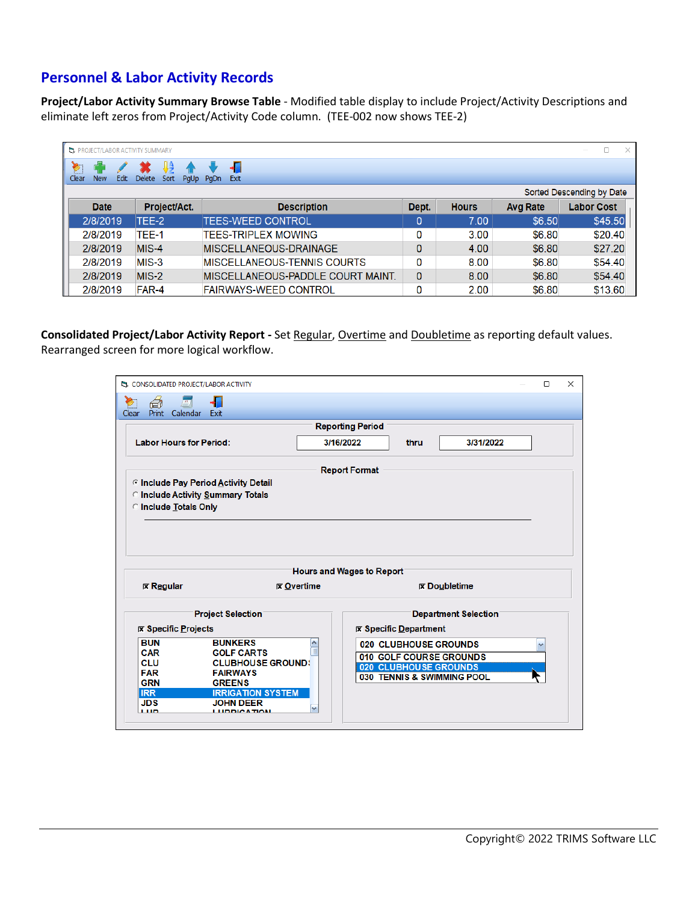## **Personnel & Labor Activity Records**

**Project/Labor Activity Summary Browse Table** - Modified table display to include Project/Activity Descriptions and eliminate left zeros from Project/Activity Code column. (TEE-002 now shows TEE-2)

|       | <b>EL PROJECT/LABOR ACTIVITY SUMMARY</b> |      |                                    |      |                    |      |                              |        |              |                 |                   |        | п.      | $\times$ |
|-------|------------------------------------------|------|------------------------------------|------|--------------------|------|------------------------------|--------|--------------|-----------------|-------------------|--------|---------|----------|
|       | E E                                      |      |                                    |      |                    |      |                              |        |              |                 |                   |        |         |          |
| Clear | <b>New</b>                               | Edit | <b>Delete</b>                      | Sort | <b>PgUp</b>        | PaDn | Exit                         |        |              |                 |                   |        |         |          |
|       | Sorted Descending by Date                |      |                                    |      |                    |      |                              |        |              |                 |                   |        |         |          |
|       | Project/Act.<br><b>Date</b>              |      |                                    |      | <b>Description</b> |      |                              |        | <b>Hours</b> | <b>Avg Rate</b> | <b>Labor Cost</b> |        |         |          |
|       | 2/8/2019                                 |      | TEE-2                              |      |                    |      | <b>TEES-WEED CONTROL</b>     |        |              | 0               | 7.00              | \$6.50 | \$45.50 |          |
|       | 2/8/2019                                 |      | TEE-1                              |      |                    |      | <b>TEES-TRIPLEX MOWING</b>   |        |              | 0               | 3.00              | \$6.80 | \$20.40 |          |
|       | 2/8/2019                                 |      | $MIS-4$                            |      |                    |      | MISCELLANEOUS-DRAINAGE       |        |              | 0               | 4.00              | \$6.80 | \$27.20 |          |
|       | 2/8/2019<br>$MIS-3$                      |      | <b>MISCELLANEOUS-TENNIS COURTS</b> |      |                    | 0    | 8.00                         | \$6.80 | \$54.40      |                 |                   |        |         |          |
|       | 2/8/2019<br>$MIS-2$                      |      | MISCELLANEOUS-PADDLE COURT MAINT.  |      |                    | 0    | 8.00                         | \$6.80 | \$54.40      |                 |                   |        |         |          |
|       | 2/8/2019                                 |      | FAR-4                              |      |                    |      | <b>FAIRWAYS-WEED CONTROL</b> |        |              | 0               | 2.00              | \$6.80 | \$13.60 |          |

**Consolidated Project/Labor Activity Report -** Set Regular, Overtime and Doubletime as reporting default values. Rearranged screen for more logical workflow.

| LA CONSOLIDATED PROJECT/LABOR ACTIVITY                                                                    |                                                                                                                                                                     |                           |                         |                              |                                                                                                                |  | □            | $\times$ |  |  |  |  |
|-----------------------------------------------------------------------------------------------------------|---------------------------------------------------------------------------------------------------------------------------------------------------------------------|---------------------------|-------------------------|------------------------------|----------------------------------------------------------------------------------------------------------------|--|--------------|----------|--|--|--|--|
| ã<br>$\overline{\mathbf{H}}$<br>Print Calendar<br>Clear                                                   | Exit                                                                                                                                                                |                           |                         |                              |                                                                                                                |  |              |          |  |  |  |  |
|                                                                                                           |                                                                                                                                                                     |                           | <b>Reporting Period</b> |                              |                                                                                                                |  |              |          |  |  |  |  |
| <b>Labor Hours for Period:</b>                                                                            |                                                                                                                                                                     |                           | 3/16/2022               | thru                         | 3/31/2022                                                                                                      |  |              |          |  |  |  |  |
|                                                                                                           |                                                                                                                                                                     |                           | <b>Report Format</b>    |                              |                                                                                                                |  |              |          |  |  |  |  |
| C Include Pay Period Activity Detail<br>C Include Activity Summary Totals<br><b>C</b> Include Totals Only |                                                                                                                                                                     |                           |                         |                              |                                                                                                                |  |              |          |  |  |  |  |
|                                                                                                           | Hours and Wages to Report                                                                                                                                           |                           |                         |                              |                                                                                                                |  |              |          |  |  |  |  |
| $R$ Regular                                                                                               |                                                                                                                                                                     | $\triangleright$ Overtime |                         |                              | $\mathbf{\nabla}$ Doubletime                                                                                   |  |              |          |  |  |  |  |
|                                                                                                           | <b>Project Selection</b>                                                                                                                                            |                           |                         |                              | <b>Department Selection</b>                                                                                    |  |              |          |  |  |  |  |
| <b>EX Specific Projects</b>                                                                               |                                                                                                                                                                     |                           |                         | <b>区 Specific Department</b> |                                                                                                                |  |              |          |  |  |  |  |
| <b>BUN</b><br><b>CAR</b><br><b>CLU</b><br><b>FAR</b><br><b>GRN</b><br><b>IRR</b><br><b>JDS</b><br>1,110   | <b>BUNKERS</b><br><b>GOLF CARTS</b><br><b>CLUBHOUSE GROUND!</b><br><b>FAIRWAYS</b><br><b>GREENS</b><br><b>IRRIGATION SYSTEM</b><br><b>JOHN DEER</b><br>LUDDICA TIAN | $\equiv$                  |                         |                              | <b>020 CLUBHOUSE GROUNDS</b><br>010 GOLF COURSE GROUNDS<br>020 CLUBHOUSE GROUNDS<br>030 TENNIS & SWIMMING POOL |  | $\checkmark$ |          |  |  |  |  |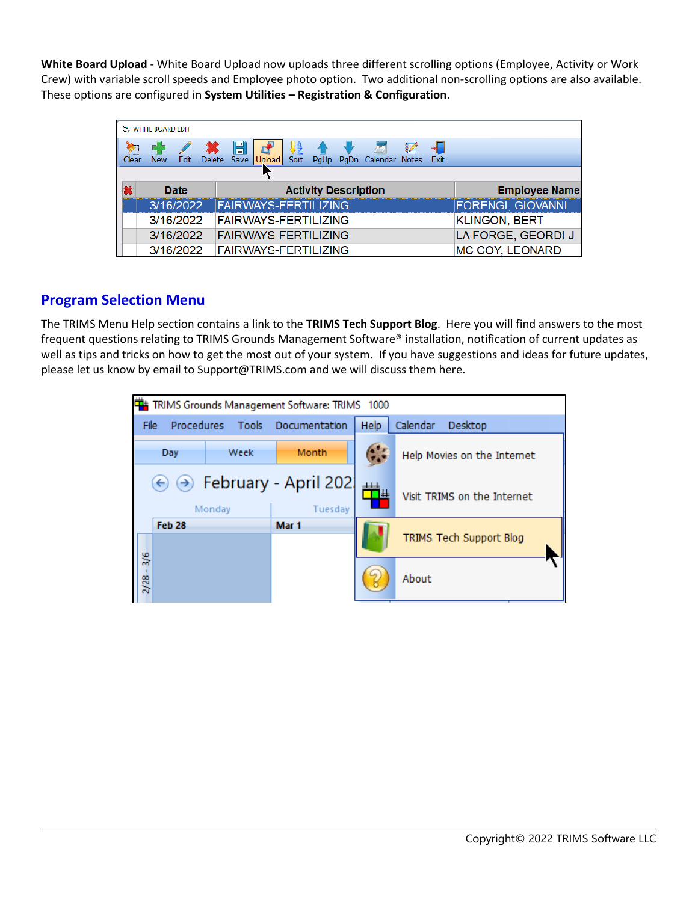**White Board Upload** - White Board Upload now uploads three different scrolling options (Employee, Activity or Work Crew) with variable scroll speeds and Employee photo option. Two additional non-scrolling options are also available. These options are configured in **System Utilities – Registration & Configuration**.

|       | <b>EL WHITE BOARD EDIT</b>          |  |  |             |                             |      |  |                      |                                                            |  |                          |
|-------|-------------------------------------|--|--|-------------|-----------------------------|------|--|----------------------|------------------------------------------------------------|--|--------------------------|
| Clear | New 1                               |  |  | $\mathbb H$ | Edit Delete Save Upload     | Sort |  |                      | $\left  \bm{u}_j \right $<br>PgUp PgDn Calendar Notes Exit |  |                          |
|       |                                     |  |  |             |                             |      |  |                      |                                                            |  |                          |
| ×     | <b>Activity Description</b><br>Date |  |  |             |                             |      |  | <b>Employee Name</b> |                                                            |  |                          |
|       | 3/16/2022                           |  |  |             | <b>FAIRWAYS-FERTILIZING</b> |      |  |                      |                                                            |  | <b>FORENGI, GIOVANNI</b> |
|       | 3/16/2022                           |  |  |             | <b>FAIRWAYS-FERTILIZING</b> |      |  |                      |                                                            |  | <b>KLINGON, BERT</b>     |
|       | 3/16/2022                           |  |  |             | <b>FAIRWAYS-FERTILIZING</b> |      |  |                      |                                                            |  | LA FORGE, GEORDI J       |
|       | 3/16/2022                           |  |  |             | <b>FAIRWAYS-FERTILIZING</b> |      |  |                      |                                                            |  | <b>MC COY, LEONARD</b>   |

#### **Program Selection Menu**

The TRIMS Menu Help section contains a link to the **TRIMS Tech Support Blog**. Here you will find answers to the most frequent questions relating to TRIMS Grounds Management Software® installation, notification of current updates as well as tips and tricks on how to get the most out of your system. If you have suggestions and ideas for future updates, please let us know by email to Support@TRIMS.com and we will discuss them here.

| 単<br>TRIMS Grounds Management Software: TRIMS 1000 |                                 |               |                             |  |  |  |  |  |
|----------------------------------------------------|---------------------------------|---------------|-----------------------------|--|--|--|--|--|
| Procedures<br>Tools<br>File                        | Documentation                   | <b>Help</b>   | Calendar<br>Desktop         |  |  |  |  |  |
| Week<br>Day                                        | Month                           | $\bullet$     | Help Movies on the Internet |  |  |  |  |  |
| $(\rightarrow)$<br>$(\Leftrightarrow)$<br>Monday   | February - April 202<br>Tuesday | $\pm\pm$<br>⋕ | Visit TRIMS on the Internet |  |  |  |  |  |
| Feb 28                                             | Mar 1                           |               | TRIMS Tech Support Blog     |  |  |  |  |  |
| $\frac{3}{6}$<br>$2/28 -$                          |                                 |               | About                       |  |  |  |  |  |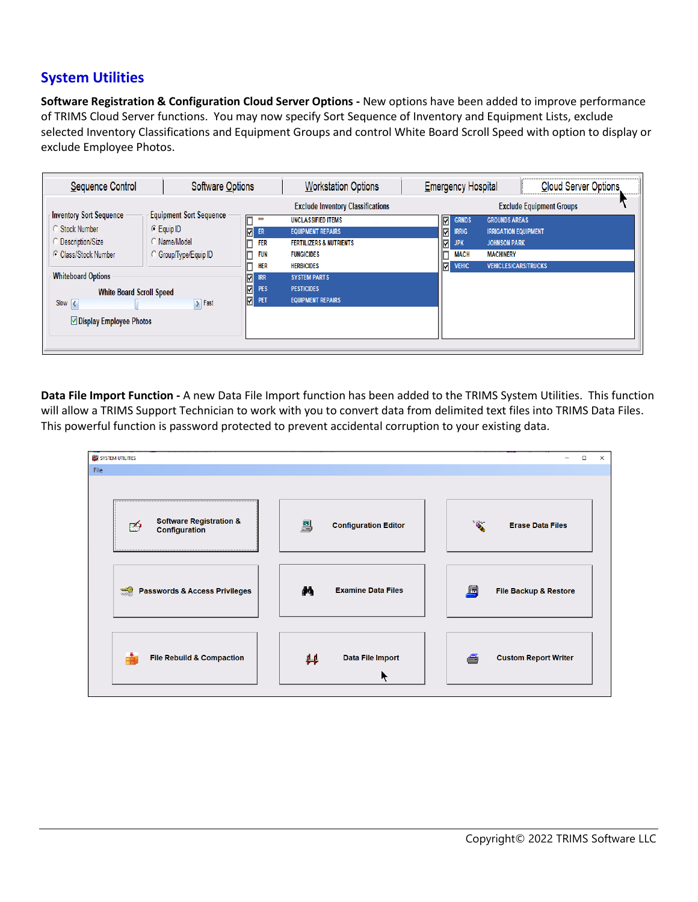## **System Utilities**

**Software Registration & Configuration Cloud Server Options -** New options have been added to improve performance of TRIMS Cloud Server functions. You may now specify Sort Sequence of Inventory and Equipment Lists, exclude selected Inventory Classifications and Equipment Groups and control White Board Scroll Speed with option to display or exclude Employee Photos.

| Sequence Control                                                                                                                                                                                              | Software Options                                                                                           |                                                                                                                      | <b>Workstation Options</b>                                                                                                                                                                                                                                | <b>Emergency Hospital</b> |                                                                                               |                                                                                                                               | Cloud Server Options.           |
|---------------------------------------------------------------------------------------------------------------------------------------------------------------------------------------------------------------|------------------------------------------------------------------------------------------------------------|----------------------------------------------------------------------------------------------------------------------|-----------------------------------------------------------------------------------------------------------------------------------------------------------------------------------------------------------------------------------------------------------|---------------------------|-----------------------------------------------------------------------------------------------|-------------------------------------------------------------------------------------------------------------------------------|---------------------------------|
| <b>Inventory Sort Sequence</b><br>Stock Number<br><b>Description/Size</b><br>C Class/Stock Number<br><b>Whiteboard Options</b><br><b>White Board Scroll Speed</b><br>Slow $\leq$<br>☑ Display Employee Photos | <b>Equipment Sort Sequence</b><br>C Equip ID<br>Mame/Model<br>Group/Type/Equip ID<br>$\triangleright$ Fast | ▣<br>$***$<br>$\n  ER\n$<br><b>FER</b><br>D<br><b>FUN</b><br>HER<br>$\frac{Q}{Q}$ IRR<br>PES<br>$\boxed{\nabla}$ PET | <b>Exclude Inventory Classifications</b><br><b>UNCLASSIFIED ITEMS</b><br><b>EQUIPMENT REPAIRS</b><br><b>FERTILIZERS &amp; NUTRIENTS</b><br><b>FUNGICIDES</b><br><b>HERBICIDES</b><br><b>SYSTEM PARTS</b><br><b>PESTICIDES</b><br><b>EQUIPMENT REPAIRS</b> |                           | ⊡<br><b>GRNDS</b><br>☑<br><b>IRRIG</b><br>⊡<br><b>JPK</b><br><b>MACH</b><br>⊡<br><b>VEHIC</b> | <b>GROUNDS AREAS</b><br><b>IRRIGATION EQUIPMENT</b><br><b>JOHNSON PARK</b><br><b>MACHINERY</b><br><b>VEHICLES/CARS/TRUCKS</b> | <b>Exclude Equipment Groups</b> |

**Data File Import Function -** A new Data File Import function has been added to the TRIMS System Utilities. This function will allow a TRIMS Support Technician to work with you to convert data from delimited text files into TRIMS Data Files. This powerful function is password protected to prevent accidental corruption to your existing data.

|      | SYSTEM UTILITIES                                                |                                                                                                                    | $\mathsf{X}$<br>$\Box$<br>$\overline{\phantom{m}}$ |
|------|-----------------------------------------------------------------|--------------------------------------------------------------------------------------------------------------------|----------------------------------------------------|
| File |                                                                 |                                                                                                                    |                                                    |
|      | <b>Software Registration &amp;</b><br>♔<br><b>Configuration</b> | $\begin{bmatrix} \hline \ \hline \ \hline \ \hline \ \hline \ \hline \end{bmatrix}$<br><b>Configuration Editor</b> | <b>BY</b><br><b>Erase Data Files</b>               |
|      | $\Rightarrow$<br><b>Passwords &amp; Access Privileges</b>       | M<br><b>Examine Data Files</b>                                                                                     | 身<br>File Backup & Restore                         |
|      | <b>File Rebuild &amp; Compaction</b><br>Ħ                       | Data File Import<br>#<br>K                                                                                         | <b>Custom Report Writer</b><br>Æ,                  |